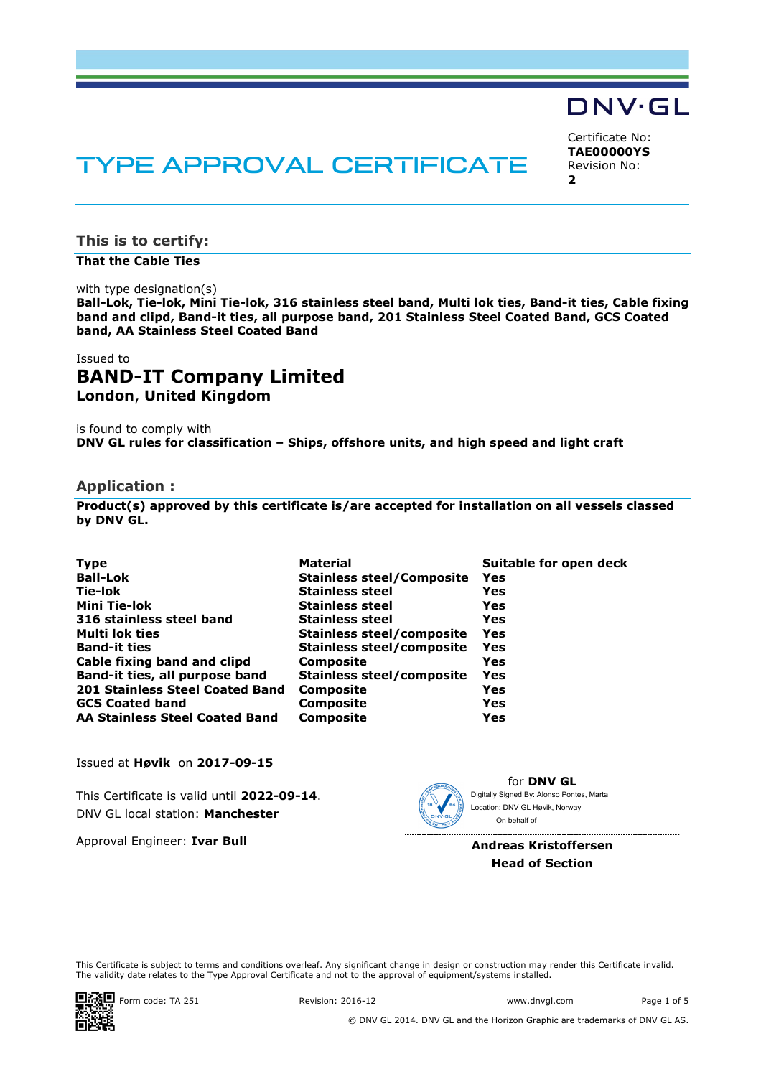# DNV·GL

Certificate No: **TAE00000YS** Revision No: **2** 

## TYPE APPROVAL CERTIFICATE

**This is to certify:** 

**That the Cable Ties**

with type designation(s)

**Ball-Lok, Tie-lok, Mini Tie-lok, 316 stainless steel band, Multi lok ties, Band-it ties, Cable fixing band and clipd, Band-it ties, all purpose band, 201 Stainless Steel Coated Band, GCS Coated band, AA Stainless Steel Coated Band**

#### Issued to **BAND-IT Company Limited London**, **United Kingdom**

is found to comply with **DNV GL rules for classification – Ships, offshore units, and high speed and light craft** 

#### **Application :**

**Product(s) approved by this certificate is/are accepted for installation on all vessels classed by DNV GL.**

| <b>Type</b>                            | <b>Material</b>                  | Suitable for open deck |
|----------------------------------------|----------------------------------|------------------------|
| <b>Ball-Lok</b>                        | <b>Stainless steel/Composite</b> | Yes                    |
| Tie-lok                                | <b>Stainless steel</b>           | Yes                    |
| Mini Tie-lok                           | <b>Stainless steel</b>           | Yes                    |
| 316 stainless steel band               | <b>Stainless steel</b>           | Yes                    |
| Multi lok ties                         | <b>Stainless steel/composite</b> | Yes                    |
| <b>Band-it ties</b>                    | <b>Stainless steel/composite</b> | Yes                    |
| Cable fixing band and clipd            | <b>Composite</b>                 | Yes                    |
| Band-it ties, all purpose band         | <b>Stainless steel/composite</b> | Yes                    |
| <b>201 Stainless Steel Coated Band</b> | <b>Composite</b>                 | Yes                    |
| <b>GCS Coated band</b>                 | <b>Composite</b>                 | Yes                    |
| <b>AA Stainless Steel Coated Band</b>  | <b>Composite</b>                 | Yes                    |

Issued at **Høvik** on **2017-09-15**

This Certificate is valid until **2022-09-14**. DNV GL local station: **Manchester**

Approval Engineer: **Ivar Bull**



for **DNV GL** Digitally Signed By: Alonso Pontes, Marta Location: DNV GL Høvik, Norway On behalf of

**Andreas Kristoffersen Head of Section** 

 This Certificate is subject to terms and conditions overleaf. Any significant change in design or construction may render this Certificate invalid. The validity date relates to the Type Approval Certificate and not to the approval of equipment/systems installed.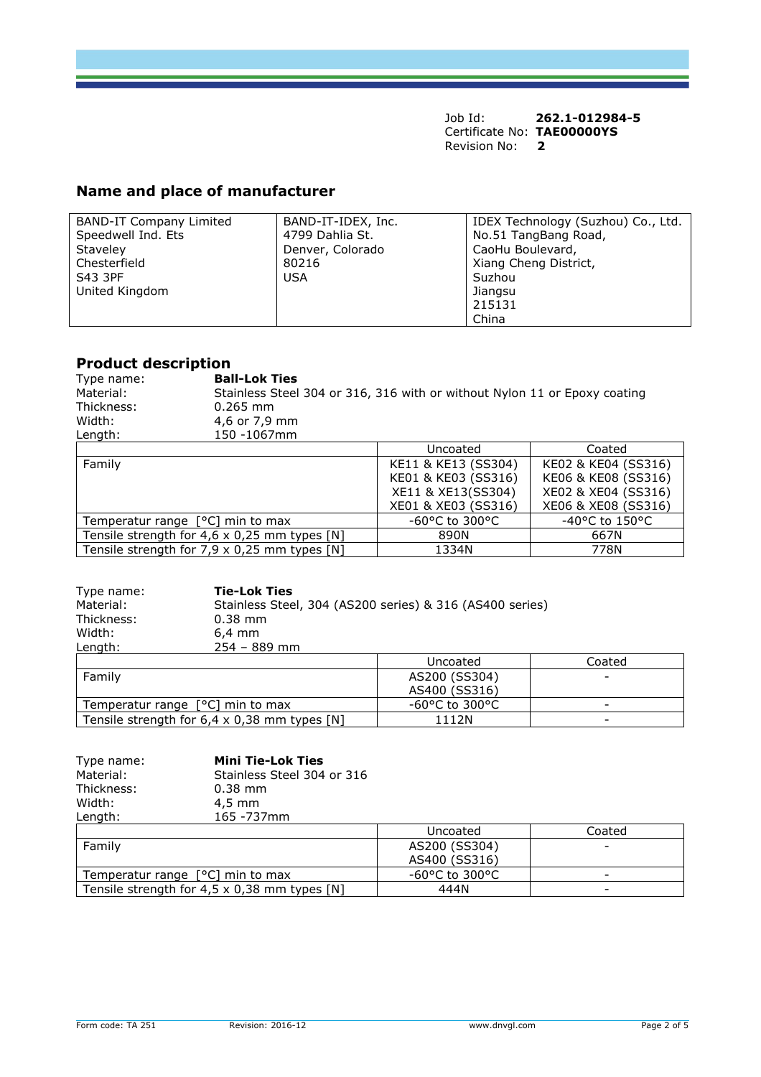## **Name and place of manufacturer**

| <b>BAND-IT Company Limited</b> | BAND-IT-IDEX, Inc. | IDEX Technology (Suzhou) Co., Ltd. |
|--------------------------------|--------------------|------------------------------------|
| Speedwell Ind. Ets             | 4799 Dahlia St.    | No.51 TangBang Road,               |
| Staveley                       | Denver, Colorado   | CaoHu Boulevard,                   |
| Chesterfield                   | 80216              | Xiang Cheng District,              |
| S43 3PF                        | <b>USA</b>         | Suzhou                             |
| United Kingdom                 |                    | Jiangsu                            |
|                                |                    | 215131                             |
|                                |                    | China                              |

### **Product description**

| Type name: | <b>Ball-Lok Ties</b>                                                      |
|------------|---------------------------------------------------------------------------|
| Material:  | Stainless Steel 304 or 316, 316 with or without Nylon 11 or Epoxy coating |
| Thickness: | $0.265$ mm                                                                |
| Width:     | 4,6 or 7,9 mm                                                             |
| Length:    | 150 -1067mm                                                               |

|                                                     | Uncoated                             | Coated              |
|-----------------------------------------------------|--------------------------------------|---------------------|
| Family                                              | KE11 & KE13 (SS304)                  | KE02 & KE04 (SS316) |
|                                                     | KE01 & KE03 (SS316)                  | KE06 & KE08 (SS316) |
|                                                     | XE11 & XE13(SS304)                   | XE02 & XE04 (SS316) |
|                                                     | XE01 & XE03 (SS316)                  | XE06 & XE08 (SS316) |
| Temperatur range $[°C]$ min to max                  | -60 $^{\circ}$ C to 300 $^{\circ}$ C | -40°C to 150°C      |
| Tensile strength for $4,6 \times 0,25$ mm types [N] | 890N                                 | 667N                |
| Tensile strength for $7,9 \times 0,25$ mm types [N] | 1334N                                | 778N                |

| Type name:                         | <b>Tie-Lok Ties</b>                                      |                |        |
|------------------------------------|----------------------------------------------------------|----------------|--------|
| Material:                          | Stainless Steel, 304 (AS200 series) & 316 (AS400 series) |                |        |
| Thickness:                         | $0.38$ mm                                                |                |        |
| Width:                             | $6.4 \text{ mm}$                                         |                |        |
| Length:                            | $254 - 889$ mm                                           |                |        |
|                                    |                                                          | Uncoated       | Coated |
| Family                             |                                                          | AS200 (SS304)  |        |
|                                    |                                                          | AS400 (SS316)  |        |
| Temperatur range $[°C]$ min to max |                                                          | -60°C to 300°C |        |
|                                    | Tensile strength for $6.4 \times 0.38$ mm types [N]      | 1112N          |        |

| Type name: | <b>Mini Tie-Lok Ties</b>   |       |
|------------|----------------------------|-------|
| Material:  | Stainless Steel 304 or 316 |       |
| Thickness: | $0.38$ mm                  |       |
| Width:     | $4.5 \text{ mm}$           |       |
| Length:    | 165 - 737mm                |       |
|            |                            | Unc   |
| Family     |                            | AS200 |
|            |                            | AS400 |

|                                                     | Uncoated       | Coated |
|-----------------------------------------------------|----------------|--------|
| Family                                              | AS200 (SS304)  | -      |
|                                                     | AS400 (SS316)  |        |
| Temperatur range $[°C]$ min to max                  | -60°C to 300°C |        |
| Tensile strength for $4.5 \times 0.38$ mm types [N] | 444N           | -      |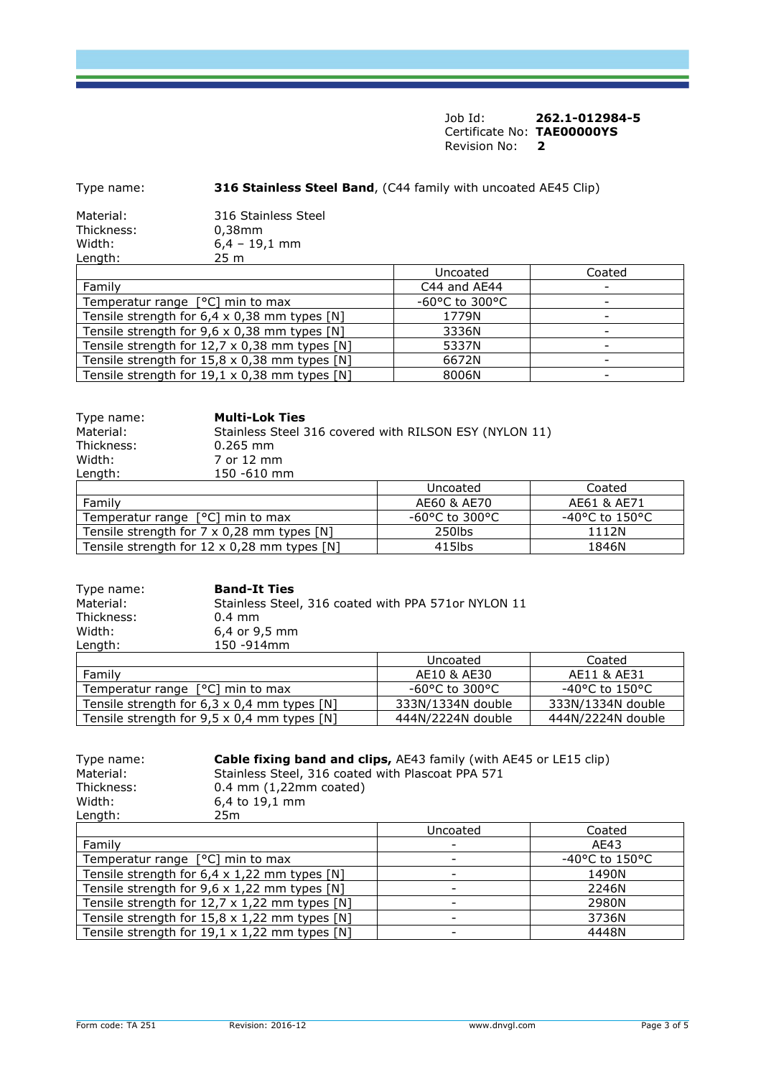| Type name:              | <b>316 Stainless Steel Band, (C44 family with uncoated AE45 Clip)</b> |                   |        |
|-------------------------|-----------------------------------------------------------------------|-------------------|--------|
| Material:<br>Thickness: | 316 Stainless Steel<br>$0.38$ mm                                      |                   |        |
| Width:<br>Length:       | $6,4 - 19,1$ mm<br>25 m                                               |                   |        |
|                         |                                                                       | Uncoated          | Coated |
| Family                  |                                                                       | C44 and AE44      |        |
|                         | Temperatur range $[°C]$ min to max                                    | $-60$ °C to 300°C |        |
|                         | Tensile strength for $6,4 \times 0,38$ mm types [N]                   | 1779N             |        |
|                         | Tensile strength for $9,6 \times 0,38$ mm types [N]                   | 3336N             |        |
|                         | Tensile strength for $12,7 \times 0,38$ mm types [N]                  | 5337N             |        |

| Type name: | <b>Multi-Lok Ties</b>                              |                                                        |                   |
|------------|----------------------------------------------------|--------------------------------------------------------|-------------------|
| Material:  |                                                    | Stainless Steel 316 covered with RILSON ESY (NYLON 11) |                   |
| Thickness: | $0.265$ mm                                         |                                                        |                   |
| Width:     | 7 or 12 mm                                         |                                                        |                   |
| Length:    | 150 -610 mm                                        |                                                        |                   |
|            |                                                    | Uncoated                                               | Coated            |
| Family     |                                                    | AE60 & AE70                                            | AE61 & AE71       |
|            | Temperatur range $[°C]$ min to max                 | $-60$ °C to 300°C                                      | $-40$ °C to 150°C |
|            | Tensile strength for $7 \times 0,28$ mm types [N]  | 250lbs                                                 | 1112N             |
|            | Tensile strength for $12 \times 0.28$ mm types [N] | $415$ lbs                                              | 1846N             |

Tensile strength for  $15.8 \times 0.38$  mm types [N]  $\hphantom{\text{u}^{\text{u}}\qquad \qquad \text{u}}$  6672N  $\hphantom{\text{u}^{\text{u}}\qquad \qquad \text{u}}$  -Tensile strength for  $19.1 \times 0.38$  mm types [N]  $\hphantom{\text{u}^2}$  8006N  $\hphantom{\text{u}^2}$  -

| Type name: | <b>Band-It Ties</b>                                |                                                     |                   |  |
|------------|----------------------------------------------------|-----------------------------------------------------|-------------------|--|
| Material:  |                                                    | Stainless Steel, 316 coated with PPA 571or NYLON 11 |                   |  |
| Thickness: | $0.4$ mm                                           |                                                     |                   |  |
| Width:     | 6,4 or 9,5 mm                                      |                                                     |                   |  |
| Length:    | 150 -914mm                                         |                                                     |                   |  |
|            |                                                    | Uncoated                                            | Coated            |  |
| Family     |                                                    | AE10 & AE30                                         | AE11 & AE31       |  |
|            | Temperatur range $[°C]$ min to max                 | $-60$ °C to 300°C                                   | $-40$ °C to 150°C |  |
|            | Tensile strength for $6.3 \times 0.4$ mm types [N] | 333N/1334N double                                   | 333N/1334N double |  |
|            | Tensile strength for $9.5 \times 0.4$ mm types [N] | 444N/2224N double                                   | 444N/2224N double |  |

| Type name:<br>Material:<br>Thickness:<br>Width:<br>Length:      | Cable fixing band and clips, AE43 family (with AE45 or LE15 clip)<br>Stainless Steel, 316 coated with Plascoat PPA 571<br>$0.4$ mm $(1,22$ mm coated)<br>6,4 to 19,1 mm<br>25m |          |        |  |
|-----------------------------------------------------------------|--------------------------------------------------------------------------------------------------------------------------------------------------------------------------------|----------|--------|--|
|                                                                 |                                                                                                                                                                                | Uncoated | Coated |  |
| Family                                                          |                                                                                                                                                                                |          | AE43   |  |
|                                                                 | Temperatur range [°C] min to max<br>$-40$ °C to 150°C                                                                                                                          |          |        |  |
|                                                                 | Tensile strength for $6.4 \times 1.22$ mm types $[N]$<br>1490N                                                                                                                 |          |        |  |
|                                                                 | Tensile strength for 9,6 x 1,22 mm types [N]<br>2246N                                                                                                                          |          |        |  |
| Tensile strength for $12,7 \times 1,22$ mm types $[N]$<br>2980N |                                                                                                                                                                                |          |        |  |
| Tensile strength for $15,8 \times 1,22$ mm types [N]<br>3736N   |                                                                                                                                                                                |          |        |  |
| Tensile strength for $19,1 \times 1,22$ mm types [N]<br>4448N   |                                                                                                                                                                                |          |        |  |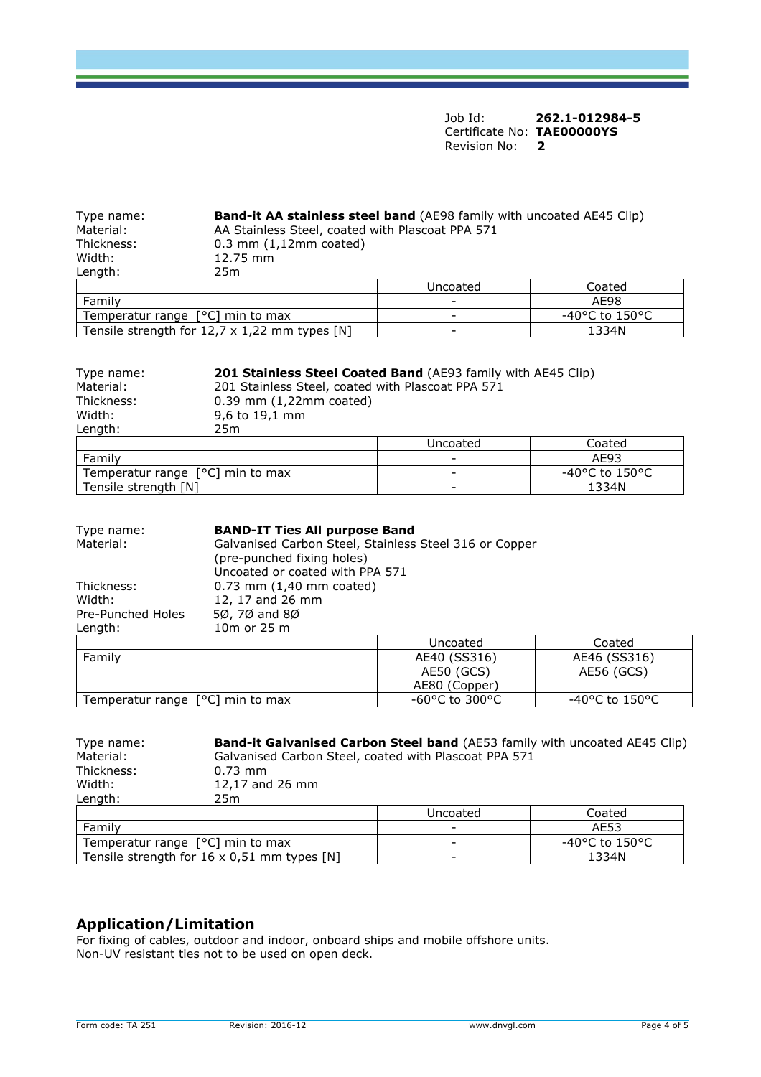| Type name: | Band-it AA stainless steel band (AE98 family with uncoated AE45 Clip) |          |        |
|------------|-----------------------------------------------------------------------|----------|--------|
| Material:  | AA Stainless Steel, coated with Plascoat PPA 571                      |          |        |
| Thickness: | $0.3$ mm $(1,12$ mm coated)                                           |          |        |
| Width:     | 12.75 mm                                                              |          |        |
| Length:    | 25m                                                                   |          |        |
|            |                                                                       | Uncoated | Coated |
|            |                                                                       |          |        |

|                                                      | Uncoated                 | coated         |
|------------------------------------------------------|--------------------------|----------------|
| Family                                               | $\overline{\phantom{0}}$ | AE98           |
| Temperatur range [°C] min to max                     | -                        | -40°C to 150°C |
| Tensile strength for $12.7 \times 1.22$ mm types [N] | $\overline{\phantom{0}}$ | L334N          |

| Type name:                         | <b>201 Stainless Steel Coated Band</b> (AE93 family with AE45 Clip) |                          |                   |  |
|------------------------------------|---------------------------------------------------------------------|--------------------------|-------------------|--|
| Material:                          | 201 Stainless Steel, coated with Plascoat PPA 571                   |                          |                   |  |
| Thickness:                         | $0.39$ mm $(1,22$ mm coated)                                        |                          |                   |  |
| Width:                             | 9,6 to 19,1 mm                                                      |                          |                   |  |
| Lenath:                            | 25 <sub>m</sub>                                                     |                          |                   |  |
|                                    |                                                                     | Uncoated                 | Coated            |  |
| Family                             |                                                                     |                          | AE93              |  |
| Temperatur range $[°C]$ min to max |                                                                     | $\overline{\phantom{a}}$ | $-40$ °C to 150°C |  |
| Tensile strength [N]               |                                                                     | ۰                        | 1334N             |  |

| Type name:<br>Material:<br>Thickness:<br>Width:<br>Pre-Punched Holes<br>Length: | <b>BAND-IT Ties All purpose Band</b><br>Galvanised Carbon Steel, Stainless Steel 316 or Copper<br>(pre-punched fixing holes)<br>Uncoated or coated with PPA 571<br>$0.73$ mm $(1,40$ mm coated)<br>12, 17 and 26 mm<br>5Ø, 7Ø and 8Ø<br>10m or 25 m |                                             |                                     |  |
|---------------------------------------------------------------------------------|-----------------------------------------------------------------------------------------------------------------------------------------------------------------------------------------------------------------------------------------------------|---------------------------------------------|-------------------------------------|--|
|                                                                                 |                                                                                                                                                                                                                                                     | Uncoated                                    | Coated                              |  |
| Family                                                                          |                                                                                                                                                                                                                                                     | AE40 (SS316)<br>AE50 (GCS)<br>AE80 (Copper) | AE46 (SS316)<br>AE56 (GCS)          |  |
| Temperatur range $[°C]$ min to max                                              |                                                                                                                                                                                                                                                     | $-60$ °C to 300°C                           | $-40^{\circ}$ C to 150 $^{\circ}$ C |  |

| Type name:<br>Material:                     | Band-it Galvanised Carbon Steel band (AE53 family with uncoated AE45 Clip)<br>Galvanised Carbon Steel, coated with Plascoat PPA 571 |          |                   |  |
|---------------------------------------------|-------------------------------------------------------------------------------------------------------------------------------------|----------|-------------------|--|
| Thickness:                                  | $0.73$ mm                                                                                                                           |          |                   |  |
| Width:                                      | 12,17 and 26 mm                                                                                                                     |          |                   |  |
| Length:                                     | 25m                                                                                                                                 |          |                   |  |
|                                             |                                                                                                                                     | Uncoated | Coated            |  |
| Family                                      |                                                                                                                                     |          | AE53              |  |
| Temperatur range $[°C]$ min to max          |                                                                                                                                     |          | $-40$ °C to 150°C |  |
| Tensile strength for 16 x 0,51 mm types [N] |                                                                                                                                     |          | 1334N             |  |

#### **Application/Limitation**

For fixing of cables, outdoor and indoor, onboard ships and mobile offshore units. Non-UV resistant ties not to be used on open deck.